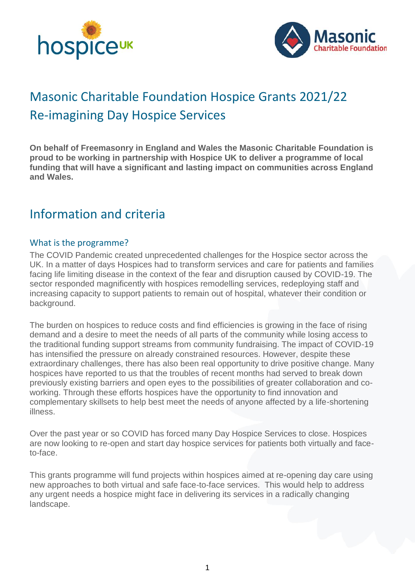



# Masonic Charitable Foundation Hospice Grants 2021/22 Re-imagining Day Hospice Services

**On behalf of Freemasonry in England and Wales the Masonic Charitable Foundation is proud to be working in partnership with Hospice UK to deliver a programme of local funding that will have a significant and lasting impact on communities across England and Wales.**

# Information and criteria

#### What is the programme?

The COVID Pandemic created unprecedented challenges for the Hospice sector across the UK. In a matter of days Hospices had to transform services and care for patients and families facing life limiting disease in the context of the fear and disruption caused by COVID-19. The sector responded magnificently with hospices remodelling services, redeploying staff and increasing capacity to support patients to remain out of hospital, whatever their condition or background.

The burden on hospices to reduce costs and find efficiencies is growing in the face of rising demand and a desire to meet the needs of all parts of the community while losing access to the traditional funding support streams from community fundraising. The impact of COVID-19 has intensified the pressure on already constrained resources. However, despite these extraordinary challenges, there has also been real opportunity to drive positive change. Many hospices have reported to us that the troubles of recent months had served to break down previously existing barriers and open eyes to the possibilities of greater collaboration and coworking. Through these efforts hospices have the opportunity to find innovation and complementary skillsets to help best meet the needs of anyone affected by a life-shortening illness.

Over the past year or so COVID has forced many Day Hospice Services to close. Hospices are now looking to re-open and start day hospice services for patients both virtually and faceto-face.

This grants programme will fund projects within hospices aimed at re-opening day care using new approaches to both virtual and safe face-to-face services. This would help to address any urgent needs a hospice might face in delivering its services in a radically changing landscape.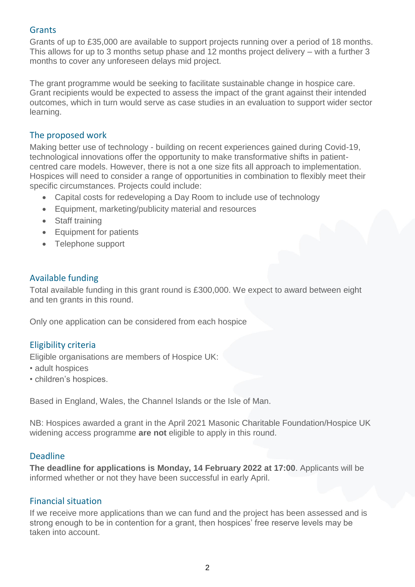#### **Grants**

Grants of up to £35,000 are available to support projects running over a period of 18 months. This allows for up to 3 months setup phase and 12 months project delivery – with a further 3 months to cover any unforeseen delays mid project.

The grant programme would be seeking to facilitate sustainable change in hospice care. Grant recipients would be expected to assess the impact of the grant against their intended outcomes, which in turn would serve as case studies in an evaluation to support wider sector learning.

#### The proposed work

Making better use of technology - building on recent experiences gained during Covid-19, technological innovations offer the opportunity to make transformative shifts in patientcentred care models. However, there is not a one size fits all approach to implementation. Hospices will need to consider a range of opportunities in combination to flexibly meet their specific circumstances. Projects could include:

- Capital costs for redeveloping a Day Room to include use of technology
- Equipment, marketing/publicity material and resources
- Staff training
- Equipment for patients
- Telephone support

# Available funding

Total available funding in this grant round is £300,000. We expect to award between eight and ten grants in this round.

Only one application can be considered from each hospice

# Eligibility criteria

Eligible organisations are members of Hospice UK:

- adult hospices
- children's hospices.

Based in England, Wales, the Channel Islands or the Isle of Man.

NB: Hospices awarded a grant in the April 2021 Masonic Charitable Foundation/Hospice UK widening access programme **are not** eligible to apply in this round.

#### Deadline

**The deadline for applications is Monday, 14 February 2022 at 17:00**. Applicants will be informed whether or not they have been successful in early April.

#### Financial situation

If we receive more applications than we can fund and the project has been assessed and is strong enough to be in contention for a grant, then hospices' free reserve levels may be taken into account.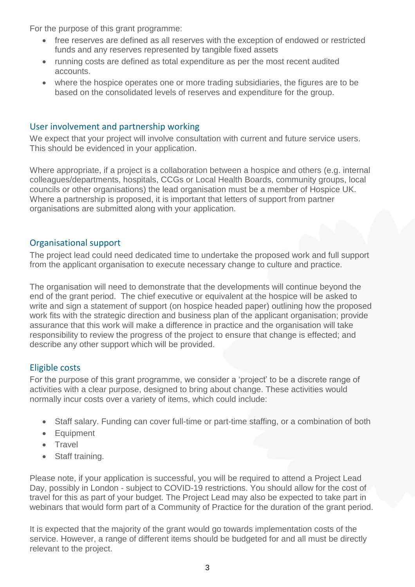For the purpose of this grant programme:

- free reserves are defined as all reserves with the exception of endowed or restricted funds and any reserves represented by tangible fixed assets
- running costs are defined as total expenditure as per the most recent audited accounts.
- where the hospice operates one or more trading subsidiaries, the figures are to be based on the consolidated levels of reserves and expenditure for the group.

# User involvement and partnership working

We expect that your project will involve consultation with current and future service users. This should be evidenced in your application.

Where appropriate, if a project is a collaboration between a hospice and others (e.g. internal colleagues/departments, hospitals, CCGs or Local Health Boards, community groups, local councils or other organisations) the lead organisation must be a member of Hospice UK. Where a partnership is proposed, it is important that letters of support from partner organisations are submitted along with your application.

# Organisational support

The project lead could need dedicated time to undertake the proposed work and full support from the applicant organisation to execute necessary change to culture and practice.

The organisation will need to demonstrate that the developments will continue beyond the end of the grant period. The chief executive or equivalent at the hospice will be asked to write and sign a statement of support (on hospice headed paper) outlining how the proposed work fits with the strategic direction and business plan of the applicant organisation; provide assurance that this work will make a difference in practice and the organisation will take responsibility to review the progress of the project to ensure that change is effected; and describe any other support which will be provided.

# Eligible costs

For the purpose of this grant programme, we consider a 'project' to be a discrete range of activities with a clear purpose, designed to bring about change. These activities would normally incur costs over a variety of items, which could include:

- Staff salary. Funding can cover full-time or part-time staffing, or a combination of both
- Equipment
- Travel
- Staff training.

Please note, if your application is successful, you will be required to attend a Project Lead Day, possibly in London - subject to COVID-19 restrictions. You should allow for the cost of travel for this as part of your budget. The Project Lead may also be expected to take part in webinars that would form part of a Community of Practice for the duration of the grant period.

It is expected that the majority of the grant would go towards implementation costs of the service. However, a range of different items should be budgeted for and all must be directly relevant to the project.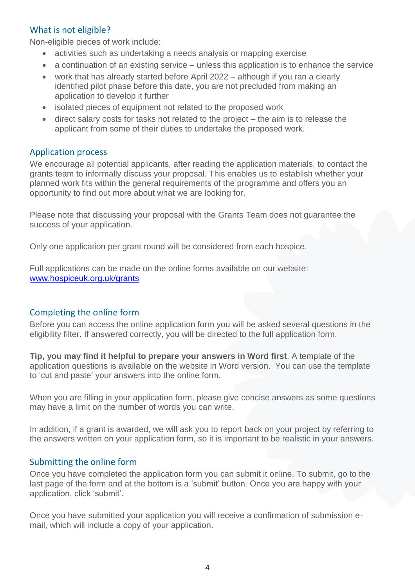# What is not eligible?

Non-eligible pieces of work include:

- activities such as undertaking a needs analysis or mapping exercise
- a continuation of an existing service unless this application is to enhance the service
- work that has already started before April 2022 although if you ran a clearly identified pilot phase before this date, you are not precluded from making an application to develop it further
- isolated pieces of equipment not related to the proposed work
- direct salary costs for tasks not related to the project the aim is to release the applicant from some of their duties to undertake the proposed work.

#### Application process

We encourage all potential applicants, after reading the application materials, to contact the grants team to informally discuss your proposal. This enables us to establish whether your planned work fits within the general requirements of the programme and offers you an opportunity to find out more about what we are looking for.

Please note that discussing your proposal with the Grants Team does not guarantee the success of your application.

Only one application per grant round will be considered from each hospice.

Full applications can be made on the online forms available on our website: [www.hospiceuk.org.uk/grants](http://www.hospiceuk.org.uk/grants) 

# Completing the online form

Before you can access the online application form you will be asked several questions in the eligibility filter. If answered correctly, you will be directed to the full application form.

**Tip, you may find it helpful to prepare your answers in Word first**. A template of the application questions is available on the website in Word version. You can use the template to 'cut and paste' your answers into the online form.

When you are filling in your application form, please give concise answers as some questions may have a limit on the number of words you can write.

In addition, if a grant is awarded, we will ask you to report back on your project by referring to the answers written on your application form, so it is important to be realistic in your answers.

#### Submitting the online form

Once you have completed the application form you can submit it online. To submit, go to the last page of the form and at the bottom is a 'submit' button. Once you are happy with your application, click 'submit'.

Once you have submitted your application you will receive a confirmation of submission email, which will include a copy of your application.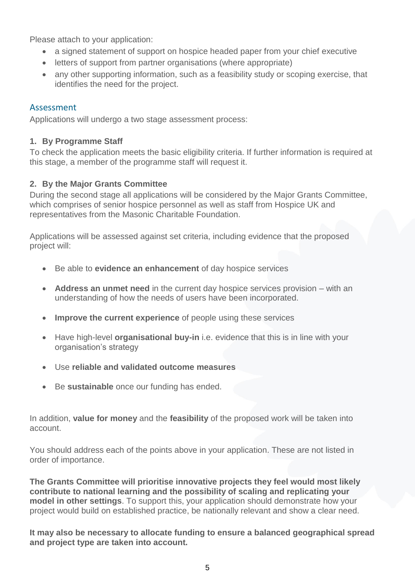Please attach to your application:

- a signed statement of support on hospice headed paper from your chief executive
- letters of support from partner organisations (where appropriate)
- any other supporting information, such as a feasibility study or scoping exercise, that identifies the need for the project.

# Assessment

Applications will undergo a two stage assessment process:

#### **1. By Programme Staff**

To check the application meets the basic eligibility criteria. If further information is required at this stage, a member of the programme staff will request it.

#### **2. By the Major Grants Committee**

During the second stage all applications will be considered by the Major Grants Committee, which comprises of senior hospice personnel as well as staff from Hospice UK and representatives from the Masonic Charitable Foundation.

Applications will be assessed against set criteria, including evidence that the proposed project will:

- Be able to **evidence an enhancement** of day hospice services
- **Address an unmet need** in the current day hospice services provision with an understanding of how the needs of users have been incorporated.
- **Improve the current experience** of people using these services
- Have high-level **organisational buy-in** i.e. evidence that this is in line with your organisation's strategy
- Use **reliable and validated outcome measures**
- Be **sustainable** once our funding has ended.

In addition, **value for money** and the **feasibility** of the proposed work will be taken into account.

You should address each of the points above in your application. These are not listed in order of importance.

**The Grants Committee will prioritise innovative projects they feel would most likely contribute to national learning and the possibility of scaling and replicating your model in other settings**. To support this, your application should demonstrate how your project would build on established practice, be nationally relevant and show a clear need.

**It may also be necessary to allocate funding to ensure a balanced geographical spread and project type are taken into account.**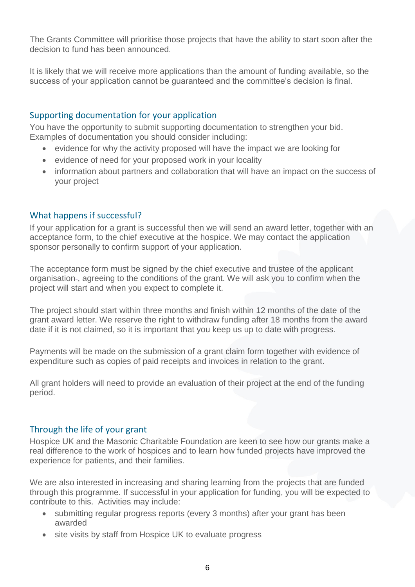The Grants Committee will prioritise those projects that have the ability to start soon after the decision to fund has been announced.

It is likely that we will receive more applications than the amount of funding available, so the success of your application cannot be guaranteed and the committee's decision is final.

# Supporting documentation for your application

You have the opportunity to submit supporting documentation to strengthen your bid. Examples of documentation you should consider including:

- evidence for why the activity proposed will have the impact we are looking for
- evidence of need for your proposed work in your locality
- information about partners and collaboration that will have an impact on the success of your project

# What happens if successful?

If your application for a grant is successful then we will send an award letter, together with an acceptance form, to the chief executive at the hospice. We may contact the application sponsor personally to confirm support of your application.

The acceptance form must be signed by the chief executive and trustee of the applicant organisation-, agreeing to the conditions of the grant. We will ask you to confirm when the project will start and when you expect to complete it.

The project should start within three months and finish within 12 months of the date of the grant award letter. We reserve the right to withdraw funding after 18 months from the award date if it is not claimed, so it is important that you keep us up to date with progress.

Payments will be made on the submission of a grant claim form together with evidence of expenditure such as copies of paid receipts and invoices in relation to the grant.

All grant holders will need to provide an evaluation of their project at the end of the funding period.

#### Through the life of your grant

Hospice UK and the Masonic Charitable Foundation are keen to see how our grants make a real difference to the work of hospices and to learn how funded projects have improved the experience for patients, and their families.

We are also interested in increasing and sharing learning from the projects that are funded through this programme. If successful in your application for funding, you will be expected to contribute to this. Activities may include:

- submitting regular progress reports (every 3 months) after your grant has been awarded
- site visits by staff from Hospice UK to evaluate progress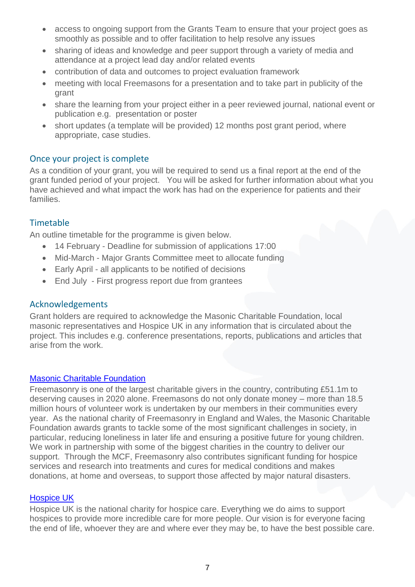- access to ongoing support from the Grants Team to ensure that your project goes as smoothly as possible and to offer facilitation to help resolve any issues
- sharing of ideas and knowledge and peer support through a variety of media and attendance at a project lead day and/or related events
- contribution of data and outcomes to project evaluation framework
- meeting with local Freemasons for a presentation and to take part in publicity of the grant
- share the learning from your project either in a peer reviewed journal, national event or publication e.g. presentation or poster
- short updates (a template will be provided) 12 months post grant period, where appropriate, case studies.

#### Once your project is complete

As a condition of your grant, you will be required to send us a final report at the end of the grant funded period of your project. You will be asked for further information about what you have achieved and what impact the work has had on the experience for patients and their families.

# Timetable

An outline timetable for the programme is given below.

- 14 February Deadline for submission of applications 17:00
- Mid-March Major Grants Committee meet to allocate funding
- Early April all applicants to be notified of decisions
- End July First progress report due from grantees

#### Acknowledgements

Grant holders are required to acknowledge the Masonic Charitable Foundation, local masonic representatives and Hospice UK in any information that is circulated about the project. This includes e.g. conference presentations, reports, publications and articles that arise from the work.

#### [Masonic Charitable Foundation](https://mcf.org.uk/)

Freemasonry is one of the largest charitable givers in the country, contributing £51.1m to deserving causes in 2020 alone. Freemasons do not only donate money – more than 18.5 million hours of volunteer work is undertaken by our members in their communities every year. As the national charity of Freemasonry in England and Wales, the Masonic Charitable Foundation awards grants to tackle some of the most significant challenges in society, in particular, reducing loneliness in later life and ensuring a positive future for young children. We work in partnership with some of the biggest charities in the country to deliver our support. Through the MCF, Freemasonry also contributes significant funding for hospice services and research into treatments and cures for medical conditions and makes donations, at home and overseas, to support those affected by major natural disasters.

#### [Hospice UK](http://www.hospiceuk.org/)

Hospice UK is the national charity for hospice care. Everything we do aims to support hospices to provide more incredible care for more people. Our vision is for everyone facing the end of life, whoever they are and where ever they may be, to have the best possible care.